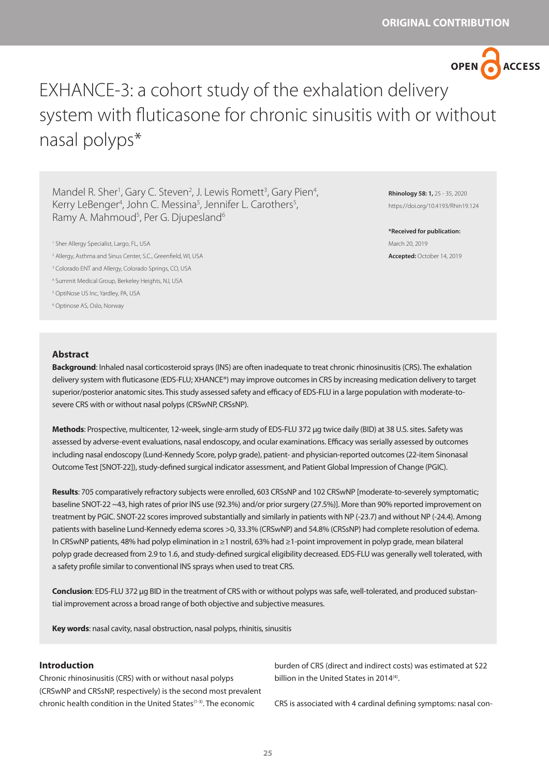

# EXHANCE-3: a cohort study of the exhalation delivery system with fluticasone for chronic sinusitis with or without nasal polyps\*

Mandel R. Sher<sup>1</sup>, Gary C. Steven<sup>2</sup>, J. Lewis Romett<sup>3</sup>, Gary Pien<sup>4</sup>, Kerry LeBenger<sup>4</sup>, John C. Messina<sup>5</sup>, Jennifer L. Carothers<sup>5</sup>, Ramy A. Mahmoud<sup>5</sup>, Per G. Djupesland<sup>6</sup>

2 Allergy, Asthma and Sinus Center, S.C., Greenfield, WI, USA

3 Colorado ENT and Allergy, Colorado Springs, CO, USA

4 Summit Medical Group, Berkeley Heights, NJ, USA

5 OptiNose US Inc, Yardley, PA, USA

6 Optinose AS, Oslo, Norway

**Rhinology 58: 1,** 25 - 35, 2020 https://doi.org/10.4193/Rhin19.124

**\*Received for publication:** March 20, 2019 **Accepted:** October 14, 2019

### **Abstract**

**Background**: Inhaled nasal corticosteroid sprays (INS) are often inadequate to treat chronic rhinosinusitis (CRS). The exhalation delivery system with fluticasone (EDS-FLU; XHANCE®) may improve outcomes in CRS by increasing medication delivery to target superior/posterior anatomic sites. This study assessed safety and efficacy of EDS-FLU in a large population with moderate-tosevere CRS with or without nasal polyps (CRSwNP, CRSsNP).

**Methods**: Prospective, multicenter, 12-week, single-arm study of EDS-FLU 372 µg twice daily (BID) at 38 U.S. sites. Safety was assessed by adverse-event evaluations, nasal endoscopy, and ocular examinations. Efficacy was serially assessed by outcomes including nasal endoscopy (Lund-Kennedy Score, polyp grade), patient- and physician-reported outcomes (22-item Sinonasal Outcome Test [SNOT-22]), study-defined surgical indicator assessment, and Patient Global Impression of Change (PGIC).

**Results**: 705 comparatively refractory subjects were enrolled, 603 CRSsNP and 102 CRSwNP [moderate-to-severely symptomatic; baseline SNOT-22 ~43, high rates of prior INS use (92.3%) and/or prior surgery (27.5%)]. More than 90% reported improvement on treatment by PGIC. SNOT-22 scores improved substantially and similarly in patients with NP (-23.7) and without NP (-24.4). Among patients with baseline Lund-Kennedy edema scores >0, 33.3% (CRSwNP) and 54.8% (CRSsNP) had complete resolution of edema. In CRSwNP patients, 48% had polyp elimination in ≥1 nostril, 63% had ≥1-point improvement in polyp grade, mean bilateral polyp grade decreased from 2.9 to 1.6, and study-defined surgical eligibility decreased. EDS-FLU was generally well tolerated, with a safety profile similar to conventional INS sprays when used to treat CRS.

**Conclusion**: EDS-FLU 372 µg BID in the treatment of CRS with or without polyps was safe, well-tolerated, and produced substantial improvement across a broad range of both objective and subjective measures.

**Key words**: nasal cavity, nasal obstruction, nasal polyps, rhinitis, sinusitis

## **Introduction**

Chronic rhinosinusitis (CRS) with or without nasal polyps (CRSwNP and CRSsNP, respectively) is the second most prevalent chronic health condition in the United States(1-3). The economic

burden of CRS (direct and indirect costs) was estimated at \$22 billion in the United States in 2014<sup>(4)</sup>.

CRS is associated with 4 cardinal defining symptoms: nasal con-

<sup>1</sup> Sher Allergy Specialist, Largo, FL, USA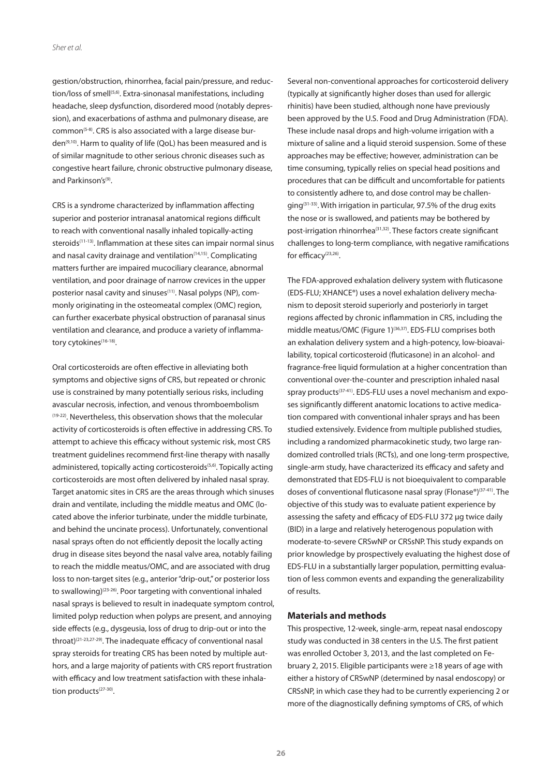gestion/obstruction, rhinorrhea, facial pain/pressure, and reduction/loss of smell<sup>(5,6)</sup>. Extra-sinonasal manifestations, including headache, sleep dysfunction, disordered mood (notably depression), and exacerbations of asthma and pulmonary disease, are common<sup>(5-8)</sup>. CRS is also associated with a large disease burden<sup>(9,10)</sup>. Harm to quality of life (QoL) has been measured and is of similar magnitude to other serious chronic diseases such as congestive heart failure, chronic obstructive pulmonary disease, and Parkinson's<sup>(9)</sup>.

CRS is a syndrome characterized by inflammation affecting superior and posterior intranasal anatomical regions difficult to reach with conventional nasally inhaled topically-acting steroids<sup>(11-13)</sup>. Inflammation at these sites can impair normal sinus and nasal cavity drainage and ventilation<sup>(14,15)</sup>. Complicating matters further are impaired mucociliary clearance, abnormal ventilation, and poor drainage of narrow crevices in the upper posterior nasal cavity and sinuses<sup>(11)</sup>. Nasal polyps (NP), commonly originating in the osteomeatal complex (OMC) region, can further exacerbate physical obstruction of paranasal sinus ventilation and clearance, and produce a variety of inflammatory cytokines<sup>(16-18)</sup>.

Oral corticosteroids are often effective in alleviating both symptoms and objective signs of CRS, but repeated or chronic use is constrained by many potentially serious risks, including avascular necrosis, infection, and venous thromboembolism (19-22). Nevertheless, this observation shows that the molecular activity of corticosteroids is often effective in addressing CRS. To attempt to achieve this efficacy without systemic risk, most CRS treatment guidelines recommend first-line therapy with nasally administered, topically acting corticosteroids<sup>(5,6)</sup>. Topically acting corticosteroids are most often delivered by inhaled nasal spray. Target anatomic sites in CRS are the areas through which sinuses drain and ventilate, including the middle meatus and OMC (located above the inferior turbinate, under the middle turbinate, and behind the uncinate process). Unfortunately, conventional nasal sprays often do not efficiently deposit the locally acting drug in disease sites beyond the nasal valve area, notably failing to reach the middle meatus/OMC, and are associated with drug loss to non-target sites (e.g., anterior "drip-out," or posterior loss to swallowing)(23-26). Poor targeting with conventional inhaled nasal sprays is believed to result in inadequate symptom control, limited polyp reduction when polyps are present, and annoying side effects (e.g., dysgeusia, loss of drug to drip-out or into the throat)(21-23,27-29). The inadequate efficacy of conventional nasal spray steroids for treating CRS has been noted by multiple authors, and a large majority of patients with CRS report frustration with efficacy and low treatment satisfaction with these inhalation products<sup>(27-30)</sup>.

Several non-conventional approaches for corticosteroid delivery (typically at significantly higher doses than used for allergic rhinitis) have been studied, although none have previously been approved by the U.S. Food and Drug Administration (FDA). These include nasal drops and high-volume irrigation with a mixture of saline and a liquid steroid suspension. Some of these approaches may be effective; however, administration can be time consuming, typically relies on special head positions and procedures that can be difficult and uncomfortable for patients to consistently adhere to, and dose control may be challenging(31-33). With irrigation in particular, 97.5% of the drug exits the nose or is swallowed, and patients may be bothered by post-irrigation rhinorrhea<sup>(31,32)</sup>. These factors create significant challenges to long-term compliance, with negative ramifications for efficacy<sup>(23,26)</sup>.

The FDA-approved exhalation delivery system with fluticasone (EDS-FLU; XHANCE®) uses a novel exhalation delivery mechanism to deposit steroid superiorly and posteriorly in target regions affected by chronic inflammation in CRS, including the middle meatus/OMC (Figure 1)<sup>(36,37)</sup>. EDS-FLU comprises both an exhalation delivery system and a high-potency, low-bioavailability, topical corticosteroid (fluticasone) in an alcohol- and fragrance-free liquid formulation at a higher concentration than conventional over-the-counter and prescription inhaled nasal spray products<sup>(37-41)</sup>. EDS-FLU uses a novel mechanism and exposes significantly different anatomic locations to active medication compared with conventional inhaler sprays and has been studied extensively. Evidence from multiple published studies, including a randomized pharmacokinetic study, two large randomized controlled trials (RCTs), and one long-term prospective, single-arm study, have characterized its efficacy and safety and demonstrated that EDS-FLU is not bioequivalent to comparable doses of conventional fluticasone nasal spray (Flonase®)(37-41). The objective of this study was to evaluate patient experience by assessing the safety and efficacy of EDS-FLU 372 µg twice daily (BID) in a large and relatively heterogenous population with moderate-to-severe CRSwNP or CRSsNP. This study expands on prior knowledge by prospectively evaluating the highest dose of EDS-FLU in a substantially larger population, permitting evaluation of less common events and expanding the generalizability of results.

## **Materials and methods**

This prospective, 12-week, single-arm, repeat nasal endoscopy study was conducted in 38 centers in the U.S. The first patient was enrolled October 3, 2013, and the last completed on February 2, 2015. Eligible participants were ≥18 years of age with either a history of CRSwNP (determined by nasal endoscopy) or CRSsNP, in which case they had to be currently experiencing 2 or more of the diagnostically defining symptoms of CRS, of which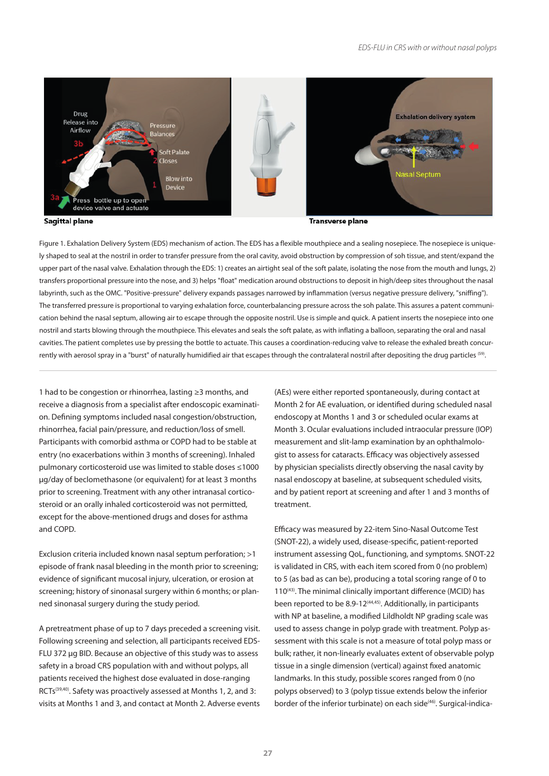

**Sagittal plane** 

**Transverse plane** 

Figure 1. Exhalation Delivery System (EDS) mechanism of action. The EDS has a flexible mouthpiece and a sealing nosepiece. The nosepiece is uniquely shaped to seal at the nostril in order to transfer pressure from the oral cavity, avoid obstruction by compression of soh tissue, and stent/expand the upper part of the nasal valve. Exhalation through the EDS: 1) creates an airtight seal of the soft palate, isolating the nose from the mouth and lungs, 2) transfers proportional pressure into the nose, and 3) helps "float" medication around obstructions to deposit in high/deep sites throughout the nasal labyrinth, such as the OMC. "Positive-pressure" delivery expands passages narrowed by inflammation (versus negative pressure delivery, "sniffing"). The transferred pressure is proportional to varying exhalation force, counterbalancing pressure across the soh palate. This assures a patent communication behind the nasal septum, allowing air to escape through the opposite nostril. Use is simple and quick. A patient inserts the nosepiece into one nostril and starts blowing through the mouthpiece. This elevates and seals the soft palate, as with inflating a balloon, separating the oral and nasal cavities. The patient completes use by pressing the bottle to actuate. This causes a coordination-reducing valve to release the exhaled breath concurrently with aerosol spray in a "burst" of naturally humidified air that escapes through the contralateral nostril after depositing the drug particles (59).

1 had to be congestion or rhinorrhea, lasting ≥3 months, and receive a diagnosis from a specialist after endoscopic examination. Defining symptoms included nasal congestion/obstruction, rhinorrhea, facial pain/pressure, and reduction/loss of smell. Participants with comorbid asthma or COPD had to be stable at entry (no exacerbations within 3 months of screening). Inhaled pulmonary corticosteroid use was limited to stable doses ≤1000 µg/day of beclomethasone (or equivalent) for at least 3 months prior to screening. Treatment with any other intranasal corticosteroid or an orally inhaled corticosteroid was not permitted, except for the above-mentioned drugs and doses for asthma and COPD.

Exclusion criteria included known nasal septum perforation; >1 episode of frank nasal bleeding in the month prior to screening; evidence of significant mucosal injury, ulceration, or erosion at screening; history of sinonasal surgery within 6 months; or planned sinonasal surgery during the study period.

A pretreatment phase of up to 7 days preceded a screening visit. Following screening and selection, all participants received EDS-FLU 372 µg BID. Because an objective of this study was to assess safety in a broad CRS population with and without polyps, all patients received the highest dose evaluated in dose-ranging RCTs<sup>(39,40)</sup>. Safety was proactively assessed at Months 1, 2, and 3: visits at Months 1 and 3, and contact at Month 2. Adverse events

(AEs) were either reported spontaneously, during contact at Month 2 for AE evaluation, or identified during scheduled nasal endoscopy at Months 1 and 3 or scheduled ocular exams at Month 3. Ocular evaluations included intraocular pressure (IOP) measurement and slit-lamp examination by an ophthalmologist to assess for cataracts. Efficacy was objectively assessed by physician specialists directly observing the nasal cavity by nasal endoscopy at baseline, at subsequent scheduled visits, and by patient report at screening and after 1 and 3 months of treatment.

Efficacy was measured by 22-item Sino-Nasal Outcome Test (SNOT-22), a widely used, disease-specific, patient-reported instrument assessing QoL, functioning, and symptoms. SNOT-22 is validated in CRS, with each item scored from 0 (no problem) to 5 (as bad as can be), producing a total scoring range of 0 to 110(43). The minimal clinically important difference (MCID) has been reported to be 8.9-12<sup>(44,45)</sup>. Additionally, in participants with NP at baseline, a modified Lildholdt NP grading scale was used to assess change in polyp grade with treatment. Polyp assessment with this scale is not a measure of total polyp mass or bulk; rather, it non-linearly evaluates extent of observable polyp tissue in a single dimension (vertical) against fixed anatomic landmarks. In this study, possible scores ranged from 0 (no polyps observed) to 3 (polyp tissue extends below the inferior border of the inferior turbinate) on each side<sup>(46)</sup>. Surgical-indica-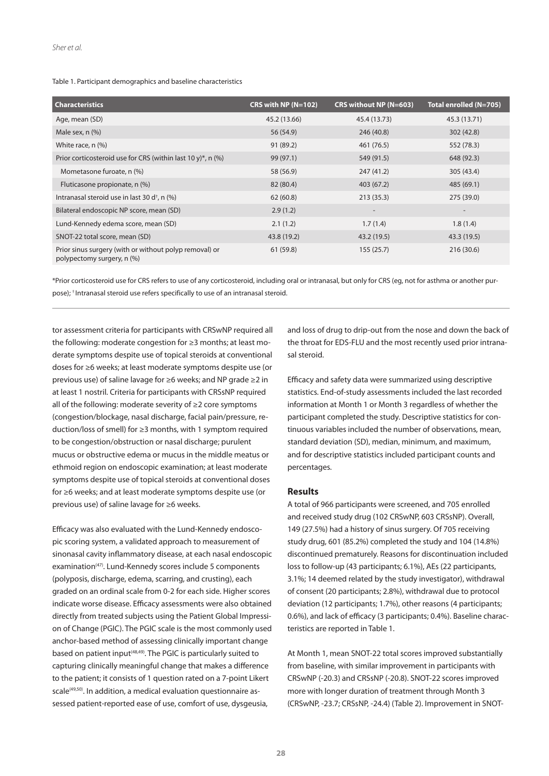#### Table 1. Participant demographics and baseline characteristics

| <b>Characteristics</b>                                                               | CRS with NP (N=102) | CRS without NP (N=603)   | Total enrolled (N=705)   |
|--------------------------------------------------------------------------------------|---------------------|--------------------------|--------------------------|
| Age, mean (SD)                                                                       | 45.2 (13.66)        | 45.4 (13.73)             | 45.3 (13.71)             |
| Male sex, $n$ $%$                                                                    | 56 (54.9)           | 246 (40.8)               | 302 (42.8)               |
| White race, n (%)                                                                    | 91 (89.2)           | 461 (76.5)               | 552 (78.3)               |
| Prior corticosteroid use for CRS (within last 10 y)*, n $(\%)$                       | 99(97.1)            | 549 (91.5)               | 648 (92.3)               |
| Mometasone furoate, n (%)                                                            | 58 (56.9)           | 247 (41.2)               | 305 (43.4)               |
| Fluticasone propionate, n (%)                                                        | 82 (80.4)           | 403 (67.2)               | 485 (69.1)               |
| Intranasal steroid use in last 30 d <sup>†</sup> , n (%)                             | 62(60.8)            | 213(35.3)                | 275 (39.0)               |
| Bilateral endoscopic NP score, mean (SD)                                             | 2.9(1.2)            | $\overline{\phantom{a}}$ | $\overline{\phantom{a}}$ |
| Lund-Kennedy edema score, mean (SD)                                                  | 2.1(1.2)            | 1.7(1.4)                 | 1.8(1.4)                 |
| SNOT-22 total score, mean (SD)                                                       | 43.8 (19.2)         | 43.2 (19.5)              | 43.3 (19.5)              |
| Prior sinus surgery (with or without polyp removal) or<br>polypectomy surgery, n (%) | 61 (59.8)           | 155(25.7)                | 216 (30.6)               |

\*Prior corticosteroid use for CRS refers to use of any corticosteroid, including oral or intranasal, but only for CRS (eg, not for asthma or another purpose); † Intranasal steroid use refers specifically to use of an intranasal steroid.

tor assessment criteria for participants with CRSwNP required all the following: moderate congestion for ≥3 months; at least moderate symptoms despite use of topical steroids at conventional doses for ≥6 weeks; at least moderate symptoms despite use (or previous use) of saline lavage for ≥6 weeks; and NP grade ≥2 in at least 1 nostril. Criteria for participants with CRSsNP required all of the following: moderate severity of ≥2 core symptoms (congestion/blockage, nasal discharge, facial pain/pressure, reduction/loss of smell) for ≥3 months, with 1 symptom required to be congestion/obstruction or nasal discharge; purulent mucus or obstructive edema or mucus in the middle meatus or ethmoid region on endoscopic examination; at least moderate symptoms despite use of topical steroids at conventional doses for ≥6 weeks; and at least moderate symptoms despite use (or previous use) of saline lavage for ≥6 weeks.

Efficacy was also evaluated with the Lund-Kennedy endoscopic scoring system, a validated approach to measurement of sinonasal cavity inflammatory disease, at each nasal endoscopic examination<sup>(47)</sup>. Lund-Kennedy scores include 5 components (polyposis, discharge, edema, scarring, and crusting), each graded on an ordinal scale from 0-2 for each side. Higher scores indicate worse disease. Efficacy assessments were also obtained directly from treated subjects using the Patient Global Impression of Change (PGIC). The PGIC scale is the most commonly used anchor-based method of assessing clinically important change based on patient input<sup>(48,49)</sup>. The PGIC is particularly suited to capturing clinically meaningful change that makes a difference to the patient; it consists of 1 question rated on a 7-point Likert scale<sup>(49,50)</sup>. In addition, a medical evaluation questionnaire assessed patient-reported ease of use, comfort of use, dysgeusia,

and loss of drug to drip-out from the nose and down the back of the throat for EDS-FLU and the most recently used prior intranasal steroid.

Efficacy and safety data were summarized using descriptive statistics. End-of-study assessments included the last recorded information at Month 1 or Month 3 regardless of whether the participant completed the study. Descriptive statistics for continuous variables included the number of observations, mean, standard deviation (SD), median, minimum, and maximum, and for descriptive statistics included participant counts and percentages.

#### **Results**

A total of 966 participants were screened, and 705 enrolled and received study drug (102 CRSwNP, 603 CRSsNP). Overall, 149 (27.5%) had a history of sinus surgery. Of 705 receiving study drug, 601 (85.2%) completed the study and 104 (14.8%) discontinued prematurely. Reasons for discontinuation included loss to follow-up (43 participants; 6.1%), AEs (22 participants, 3.1%; 14 deemed related by the study investigator), withdrawal of consent (20 participants; 2.8%), withdrawal due to protocol deviation (12 participants; 1.7%), other reasons (4 participants; 0.6%), and lack of efficacy (3 participants; 0.4%). Baseline characteristics are reported in Table 1.

At Month 1, mean SNOT-22 total scores improved substantially from baseline, with similar improvement in participants with CRSwNP (-20.3) and CRSsNP (-20.8). SNOT-22 scores improved more with longer duration of treatment through Month 3 (CRSwNP, -23.7; CRSsNP, -24.4) (Table 2). Improvement in SNOT-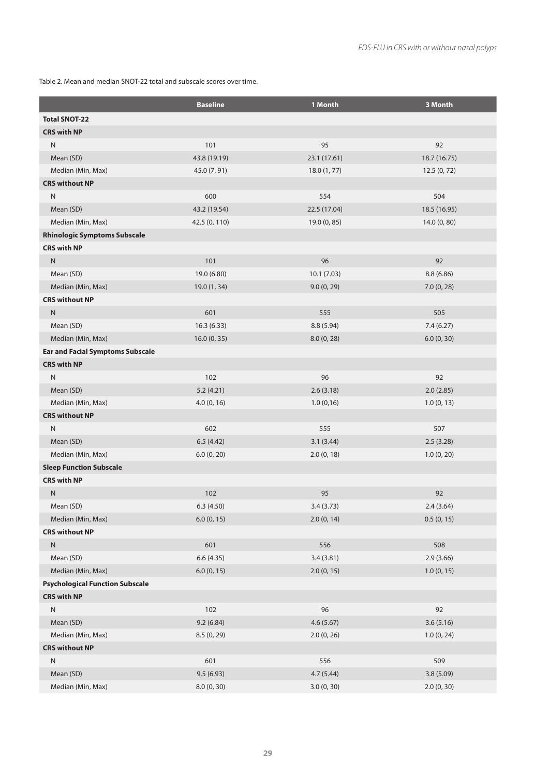Table 2. Mean and median SNOT-22 total and subscale scores over time.

|                                         | <b>Baseline</b> | 1 Month      | 3 Month      |
|-----------------------------------------|-----------------|--------------|--------------|
| <b>Total SNOT-22</b>                    |                 |              |              |
| <b>CRS with NP</b>                      |                 |              |              |
| N                                       | 101             | 95           | 92           |
| Mean (SD)                               | 43.8 (19.19)    | 23.1 (17.61) | 18.7 (16.75) |
| Median (Min, Max)                       | 45.0 (7, 91)    | 18.0(1, 77)  | 12.5(0, 72)  |
| <b>CRS without NP</b>                   |                 |              |              |
| ${\sf N}$                               | 600             | 554          | 504          |
| Mean (SD)                               | 43.2 (19.54)    | 22.5 (17.04) | 18.5 (16.95) |
| Median (Min, Max)                       | 42.5 (0, 110)   | 19.0 (0, 85) | 14.0 (0, 80) |
| <b>Rhinologic Symptoms Subscale</b>     |                 |              |              |
| <b>CRS with NP</b>                      |                 |              |              |
| ${\sf N}$                               | 101             | 96           | 92           |
| Mean (SD)                               | 19.0 (6.80)     | 10.1(7.03)   | 8.8(6.86)    |
| Median (Min, Max)                       | 19.0 (1, 34)    | 9.0(0, 29)   | 7.0(0, 28)   |
| <b>CRS without NP</b>                   |                 |              |              |
| ${\sf N}$                               | 601             | 555          | 505          |
| Mean (SD)                               | 16.3(6.33)      | 8.8 (5.94)   | 7.4(6.27)    |
| Median (Min, Max)                       | 16.0 (0, 35)    | 8.0(0, 28)   | 6.0(0, 30)   |
| <b>Ear and Facial Symptoms Subscale</b> |                 |              |              |
| <b>CRS with NP</b>                      |                 |              |              |
| N                                       | 102             | 96           | 92           |
| Mean (SD)                               | 5.2(4.21)       | 2.6(3.18)    | 2.0(2.85)    |
| Median (Min, Max)                       | 4.0(0, 16)      | 1.0(0,16)    | 1.0(0, 13)   |
| <b>CRS without NP</b>                   |                 |              |              |
| ${\sf N}$                               | 602             | 555          | 507          |
| Mean (SD)                               | 6.5(4.42)       | 3.1(3.44)    | 2.5(3.28)    |
| Median (Min, Max)                       | 6.0(0, 20)      | 2.0(0, 18)   | 1.0(0, 20)   |
| <b>Sleep Function Subscale</b>          |                 |              |              |
| <b>CRS with NP</b>                      |                 |              |              |
| Ν                                       | 102             | 95           | 92           |
| Mean (SD)                               | 6.3(4.50)       | 3.4(3.73)    | 2.4(3.64)    |
| Median (Min, Max)                       | 6.0(0, 15)      | 2.0(0, 14)   | 0.5(0, 15)   |
| <b>CRS without NP</b>                   |                 |              |              |
| ${\sf N}$                               | 601             | 556          | 508          |
| Mean (SD)                               | 6.6(4.35)       | 3.4(3.81)    | 2.9(3.66)    |
| Median (Min, Max)                       | 6.0(0, 15)      | 2.0(0, 15)   | 1.0(0, 15)   |
| <b>Psychological Function Subscale</b>  |                 |              |              |
| <b>CRS with NP</b>                      |                 |              |              |
| N                                       | 102             | 96           | 92           |
| Mean (SD)                               | 9.2(6.84)       | 4.6(5.67)    | 3.6(5.16)    |
| Median (Min, Max)                       | 8.5 (0, 29)     | 2.0(0, 26)   | 1.0(0, 24)   |
| <b>CRS without NP</b>                   |                 |              |              |
| N                                       | 601             | 556          | 509          |
| Mean (SD)                               | 9.5(6.93)       | 4.7(5.44)    | 3.8 (5.09)   |
| Median (Min, Max)                       | 8.0(0, 30)      | 3.0(0, 30)   | 2.0(0, 30)   |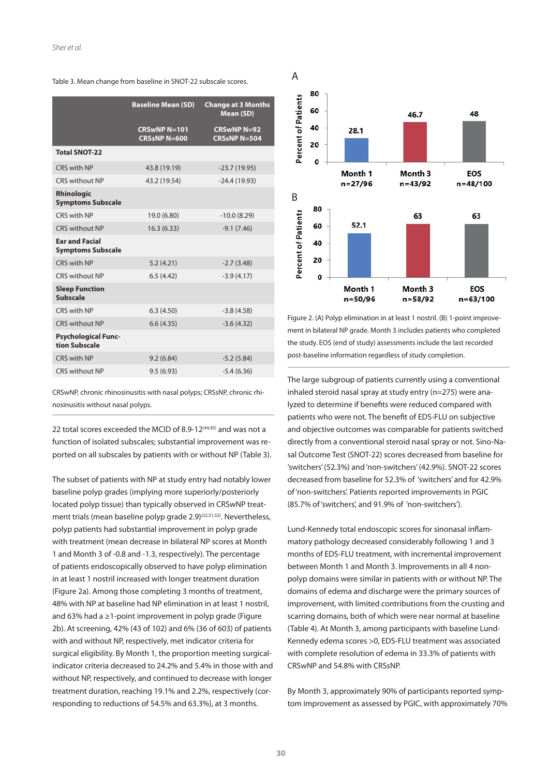|  | Table 3. Mean change from baseline in SNOT-22 subscale scores. |
|--|----------------------------------------------------------------|
|--|----------------------------------------------------------------|

| <b>Baseline Mean (SD)</b>                 | <b>Change at 3 Months</b><br>Mean (SD)    |
|-------------------------------------------|-------------------------------------------|
| <b>CRSwNPN=101</b><br><b>CRSsNP N=600</b> | <b>CRSwNP N=92</b><br><b>CRSsNP N=504</b> |
|                                           |                                           |
| 43.8 (19.19)                              | $-23.7(19.95)$                            |
| 43.2 (19.54)                              | $-24.4(19.93)$                            |
|                                           |                                           |
| 19.0 (6.80)                               | $-10.0(8.29)$                             |
| 16.3(6.33)                                | $-9.1(7.46)$                              |
|                                           |                                           |
| 5.2(4.21)                                 | $-2.7(3.48)$                              |
| 6.5(4.42)                                 | $-3.9(4.17)$                              |
|                                           |                                           |
| 6.3(4.50)                                 | $-3.8(4.58)$                              |
| 6.6(4.35)                                 | $-3.6(4.32)$                              |
|                                           |                                           |
| 9.2(6.84)                                 | $-5.2(5.84)$                              |
| 9.5(6.93)                                 | $-5.4(6.36)$                              |
|                                           |                                           |

CRSwNP, chronic rhinosinusitis with nasal polyps; CRSsNP, chronic rhinosinusitis without nasal polyps.

22 total scores exceeded the MCID of 8.9-12<sup>(44,45)</sup> and was not a function of isolated subscales; substantial improvement was reported on all subscales by patients with or without NP (Table 3).

The subset of patients with NP at study entry had notably lower baseline polyp grades (implying more superiorly/posteriorly located polyp tissue) than typically observed in CRSwNP treatment trials (mean baseline polyp grade 2.9)<sup>(22,51,52)</sup>. Nevertheless, polyp patients had substantial improvement in polyp grade with treatment (mean decrease in bilateral NP scores at Month 1 and Month 3 of -0.8 and -1.3, respectively). The percentage of patients endoscopically observed to have polyp elimination in at least 1 nostril increased with longer treatment duration (Figure 2a). Among those completing 3 months of treatment, 48% with NP at baseline had NP elimination in at least 1 nostril, and 63% had a ≥1-point improvement in polyp grade (Figure 2b). At screening, 42% (43 of 102) and 6% (36 of 603) of patients with and without NP, respectively, met indicator criteria for surgical eligibility. By Month 1, the proportion meeting surgicalindicator criteria decreased to 24.2% and 5.4% in those with and without NP, respectively, and continued to decrease with longer treatment duration, reaching 19.1% and 2.2%, respectively (corresponding to reductions of 54.5% and 63.3%), at 3 months.



Figure 2. (A) Polyp elimination in at least 1 nostril. (B) 1-point improvement in bilateral NP grade. Month 3 includes patients who completed the study. EOS (end of study) assessments include the last recorded post-baseline information regardless of study completion.

The large subgroup of patients currently using a conventional inhaled steroid nasal spray at study entry (n=275) were analyzed to determine if benefits were reduced compared with patients who were not. The benefit of EDS-FLU on subjective and objective outcomes was comparable for patients switched directly from a conventional steroid nasal spray or not. Sino-Nasal Outcome Test (SNOT-22) scores decreased from baseline for 'switchers' (52.3%) and 'non-switchers' (42.9%). SNOT-22 scores decreased from baseline for 52.3% of 'switchers' and for 42.9% of 'non-switchers'. Patients reported improvements in PGIC (85.7% of 'switchers', and 91.9% of 'non-switchers').

Lund-Kennedy total endoscopic scores for sinonasal inflammatory pathology decreased considerably following 1 and 3 months of EDS-FLU treatment, with incremental improvement between Month 1 and Month 3. Improvements in all 4 nonpolyp domains were similar in patients with or without NP. The domains of edema and discharge were the primary sources of improvement, with limited contributions from the crusting and scarring domains, both of which were near normal at baseline (Table 4). At Month 3, among participants with baseline Lund-Kennedy edema scores >0, EDS-FLU treatment was associated with complete resolution of edema in 33.3% of patients with CRSwNP and 54.8% with CRSsNP.

By Month 3, approximately 90% of participants reported symptom improvement as assessed by PGIC, with approximately 70%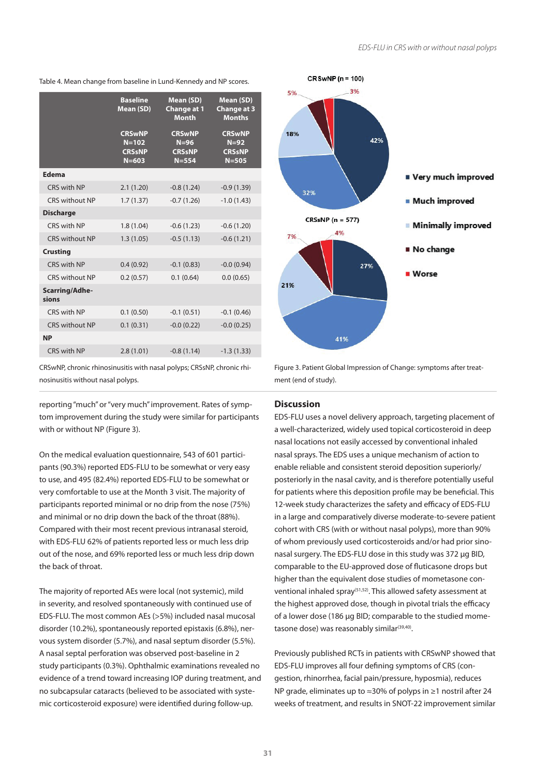Table 4. Mean change from baseline in Lund-Kennedy and NP scores.

|                         | <b>Baseline</b><br>Mean (SD)                             | Mean (SD)<br><b>Change at 1</b><br><b>Month</b>       | Mean (SD)<br><b>Change at 3</b><br><b>Months</b>      |
|-------------------------|----------------------------------------------------------|-------------------------------------------------------|-------------------------------------------------------|
|                         | <b>CRSwNP</b><br>$N = 102$<br><b>CRSsNP</b><br>$N = 603$ | <b>CRSwNP</b><br>$N=96$<br><b>CRSsNP</b><br>$N = 554$ | <b>CRSwNP</b><br>$N=92$<br><b>CRSsNP</b><br>$N = 505$ |
| Edema                   |                                                          |                                                       |                                                       |
| CRS with NP             | 2.1(1.20)                                                | $-0.8(1.24)$                                          | $-0.9(1.39)$                                          |
| <b>CRS without NP</b>   | 1.7(1.37)                                                | $-0.7(1.26)$                                          | $-1.0(1.43)$                                          |
| <b>Discharge</b>        |                                                          |                                                       |                                                       |
| CRS with NP             | 1.8(1.04)                                                | $-0.6(1.23)$                                          | $-0.6(1.20)$                                          |
| <b>CRS without NP</b>   | 1.3(1.05)                                                | $-0.5(1.13)$                                          | $-0.6(1.21)$                                          |
| <b>Crusting</b>         |                                                          |                                                       |                                                       |
| CRS with NP             | 0.4(0.92)                                                | $-0.1(0.83)$                                          | $-0.0(0.94)$                                          |
| <b>CRS without NP</b>   | 0.2(0.57)                                                | 0.1(0.64)                                             | 0.0(0.65)                                             |
| Scarring/Adhe-<br>sions |                                                          |                                                       |                                                       |
| CRS with NP             | 0.1(0.50)                                                | $-0.1(0.51)$                                          | $-0.1(0.46)$                                          |
| <b>CRS without NP</b>   | 0.1(0.31)                                                | $-0.0(0.22)$                                          | $-0.0(0.25)$                                          |
| <b>NP</b>               |                                                          |                                                       |                                                       |
| CRS with NP             | 2.8(1.01)                                                | $-0.8(1.14)$                                          | $-1.3(1.33)$                                          |

CRSwNP, chronic rhinosinusitis with nasal polyps; CRSsNP, chronic rhinosinusitis without nasal polyps.

reporting "much" or "very much" improvement. Rates of symptom improvement during the study were similar for participants with or without NP (Figure 3).

On the medical evaluation questionnaire, 543 of 601 participants (90.3%) reported EDS-FLU to be somewhat or very easy to use, and 495 (82.4%) reported EDS-FLU to be somewhat or very comfortable to use at the Month 3 visit. The majority of participants reported minimal or no drip from the nose (75%) and minimal or no drip down the back of the throat (88%). Compared with their most recent previous intranasal steroid, with EDS-FLU 62% of patients reported less or much less drip out of the nose, and 69% reported less or much less drip down the back of throat.

The majority of reported AEs were local (not systemic), mild in severity, and resolved spontaneously with continued use of EDS-FLU. The most common AEs (>5%) included nasal mucosal disorder (10.2%), spontaneously reported epistaxis (6.8%), nervous system disorder (5.7%), and nasal septum disorder (5.5%). A nasal septal perforation was observed post-baseline in 2 study participants (0.3%). Ophthalmic examinations revealed no evidence of a trend toward increasing IOP during treatment, and no subcapsular cataracts (believed to be associated with systemic corticosteroid exposure) were identified during follow-up.



Figure 3. Patient Global Impression of Change: symptoms after treatment (end of study).

# **Discussion**

EDS-FLU uses a novel delivery approach, targeting placement of a well-characterized, widely used topical corticosteroid in deep nasal locations not easily accessed by conventional inhaled nasal sprays. The EDS uses a unique mechanism of action to enable reliable and consistent steroid deposition superiorly/ posteriorly in the nasal cavity, and is therefore potentially useful for patients where this deposition profile may be beneficial. This 12-week study characterizes the safety and efficacy of EDS-FLU in a large and comparatively diverse moderate-to-severe patient cohort with CRS (with or without nasal polyps), more than 90% of whom previously used corticosteroids and/or had prior sinonasal surgery. The EDS-FLU dose in this study was 372 µg BID, comparable to the EU-approved dose of fluticasone drops but higher than the equivalent dose studies of mometasone conventional inhaled spray<sup>(51,52)</sup>. This allowed safety assessment at the highest approved dose, though in pivotal trials the efficacy of a lower dose (186 µg BID; comparable to the studied mometasone dose) was reasonably similar<sup>(39,40)</sup>.

Previously published RCTs in patients with CRSwNP showed that EDS-FLU improves all four defining symptoms of CRS (congestion, rhinorrhea, facial pain/pressure, hyposmia), reduces NP grade, eliminates up to ≈30% of polyps in ≥1 nostril after 24 weeks of treatment, and results in SNOT-22 improvement similar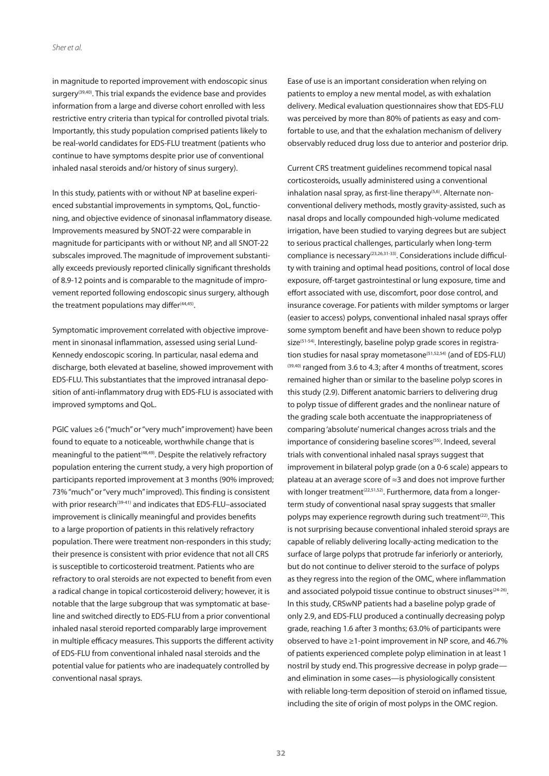in magnitude to reported improvement with endoscopic sinus surgery<sup>(39,40)</sup>. This trial expands the evidence base and provides information from a large and diverse cohort enrolled with less restrictive entry criteria than typical for controlled pivotal trials. Importantly, this study population comprised patients likely to be real-world candidates for EDS-FLU treatment (patients who continue to have symptoms despite prior use of conventional inhaled nasal steroids and/or history of sinus surgery).

In this study, patients with or without NP at baseline experienced substantial improvements in symptoms, QoL, functioning, and objective evidence of sinonasal inflammatory disease. Improvements measured by SNOT-22 were comparable in magnitude for participants with or without NP, and all SNOT-22 subscales improved. The magnitude of improvement substantially exceeds previously reported clinically significant thresholds of 8.9-12 points and is comparable to the magnitude of improvement reported following endoscopic sinus surgery, although the treatment populations may differ<sup>(44,45)</sup>.

Symptomatic improvement correlated with objective improvement in sinonasal inflammation, assessed using serial Lund-Kennedy endoscopic scoring. In particular, nasal edema and discharge, both elevated at baseline, showed improvement with EDS-FLU. This substantiates that the improved intranasal deposition of anti-inflammatory drug with EDS-FLU is associated with improved symptoms and QoL.

PGIC values ≥6 ("much" or "very much" improvement) have been found to equate to a noticeable, worthwhile change that is meaningful to the patient<sup>(48,49)</sup>. Despite the relatively refractory population entering the current study, a very high proportion of participants reported improvement at 3 months (90% improved; 73% "much" or "very much" improved). This finding is consistent with prior research<sup>(39-41)</sup> and indicates that EDS-FLU-associated improvement is clinically meaningful and provides benefits to a large proportion of patients in this relatively refractory population. There were treatment non-responders in this study; their presence is consistent with prior evidence that not all CRS is susceptible to corticosteroid treatment. Patients who are refractory to oral steroids are not expected to benefit from even a radical change in topical corticosteroid delivery; however, it is notable that the large subgroup that was symptomatic at baseline and switched directly to EDS-FLU from a prior conventional inhaled nasal steroid reported comparably large improvement in multiple efficacy measures. This supports the different activity of EDS-FLU from conventional inhaled nasal steroids and the potential value for patients who are inadequately controlled by conventional nasal sprays.

Ease of use is an important consideration when relying on patients to employ a new mental model, as with exhalation delivery. Medical evaluation questionnaires show that EDS-FLU was perceived by more than 80% of patients as easy and comfortable to use, and that the exhalation mechanism of delivery observably reduced drug loss due to anterior and posterior drip.

Current CRS treatment guidelines recommend topical nasal corticosteroids, usually administered using a conventional inhalation nasal spray, as first-line therapy<sup>(5,6)</sup>. Alternate nonconventional delivery methods, mostly gravity-assisted, such as nasal drops and locally compounded high-volume medicated irrigation, have been studied to varying degrees but are subject to serious practical challenges, particularly when long-term compliance is necessary(23,26,31-33). Considerations include difficulty with training and optimal head positions, control of local dose exposure, off-target gastrointestinal or lung exposure, time and effort associated with use, discomfort, poor dose control, and insurance coverage. For patients with milder symptoms or larger (easier to access) polyps, conventional inhaled nasal sprays offer some symptom benefit and have been shown to reduce polyp size<sup>(51-54)</sup>. Interestingly, baseline polyp grade scores in registration studies for nasal spray mometasone<sup> $(51,52,54)$ </sup> (and of EDS-FLU) (39,40) ranged from 3.6 to 4.3; after 4 months of treatment, scores remained higher than or similar to the baseline polyp scores in this study (2.9). Different anatomic barriers to delivering drug to polyp tissue of different grades and the nonlinear nature of the grading scale both accentuate the inappropriateness of comparing 'absolute' numerical changes across trials and the importance of considering baseline scores<sup>(55)</sup>. Indeed, several trials with conventional inhaled nasal sprays suggest that improvement in bilateral polyp grade (on a 0-6 scale) appears to plateau at an average score of ≈3 and does not improve further with longer treatment<sup> $(22,51,52)$ </sup>. Furthermore, data from a longerterm study of conventional nasal spray suggests that smaller polyps may experience regrowth during such treatment<sup>(22)</sup>. This is not surprising because conventional inhaled steroid sprays are capable of reliably delivering locally-acting medication to the surface of large polyps that protrude far inferiorly or anteriorly, but do not continue to deliver steroid to the surface of polyps as they regress into the region of the OMC, where inflammation and associated polypoid tissue continue to obstruct sinuses<sup>(24-26)</sup>. In this study, CRSwNP patients had a baseline polyp grade of only 2.9, and EDS-FLU produced a continually decreasing polyp grade, reaching 1.6 after 3 months; 63.0% of participants were observed to have ≥1-point improvement in NP score, and 46.7% of patients experienced complete polyp elimination in at least 1 nostril by study end. This progressive decrease in polyp grade and elimination in some cases—is physiologically consistent with reliable long-term deposition of steroid on inflamed tissue, including the site of origin of most polyps in the OMC region.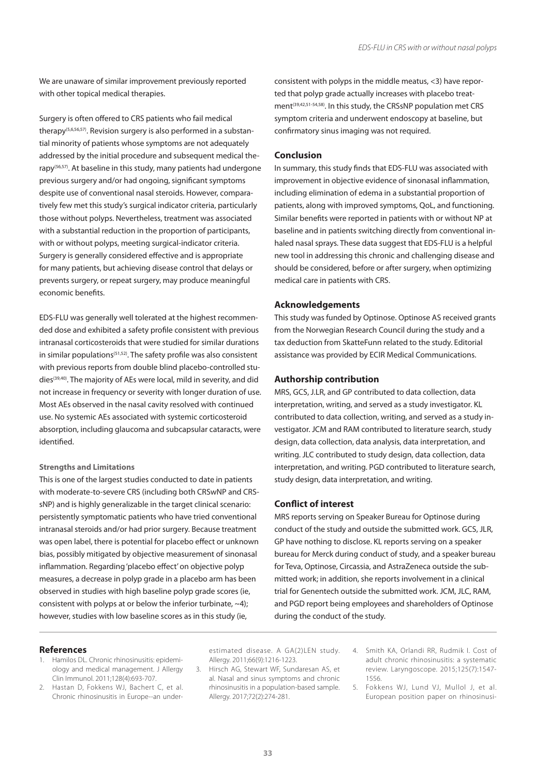We are unaware of similar improvement previously reported with other topical medical therapies.

Surgery is often offered to CRS patients who fail medical therapy(5,6,56,57). Revision surgery is also performed in a substantial minority of patients whose symptoms are not adequately addressed by the initial procedure and subsequent medical therapy(56,57). At baseline in this study, many patients had undergone previous surgery and/or had ongoing, significant symptoms despite use of conventional nasal steroids. However, comparatively few met this study's surgical indicator criteria, particularly those without polyps. Nevertheless, treatment was associated with a substantial reduction in the proportion of participants, with or without polyps, meeting surgical-indicator criteria. Surgery is generally considered effective and is appropriate for many patients, but achieving disease control that delays or prevents surgery, or repeat surgery, may produce meaningful economic benefits.

EDS-FLU was generally well tolerated at the highest recommended dose and exhibited a safety profile consistent with previous intranasal corticosteroids that were studied for similar durations in similar populations<sup>(51,52)</sup>. The safety profile was also consistent with previous reports from double blind placebo-controlled studies(39,40). The majority of AEs were local, mild in severity, and did not increase in frequency or severity with longer duration of use. Most AEs observed in the nasal cavity resolved with continued use. No systemic AEs associated with systemic corticosteroid absorption, including glaucoma and subcapsular cataracts, were identified.

## **Strengths and Limitations**

This is one of the largest studies conducted to date in patients with moderate-to-severe CRS (including both CRSwNP and CRSsNP) and is highly generalizable in the target clinical scenario: persistently symptomatic patients who have tried conventional intranasal steroids and/or had prior surgery. Because treatment was open label, there is potential for placebo effect or unknown bias, possibly mitigated by objective measurement of sinonasal inflammation. Regarding 'placebo effect' on objective polyp measures, a decrease in polyp grade in a placebo arm has been observed in studies with high baseline polyp grade scores (ie, consistent with polyps at or below the inferior turbinate, ~4); however, studies with low baseline scores as in this study (ie,

consistent with polyps in the middle meatus, <3) have reported that polyp grade actually increases with placebo treatment<sup>(39,42,51-54,58)</sup>. In this study, the CRSsNP population met CRS symptom criteria and underwent endoscopy at baseline, but confirmatory sinus imaging was not required.

## **Conclusion**

In summary, this study finds that EDS-FLU was associated with improvement in objective evidence of sinonasal inflammation, including elimination of edema in a substantial proportion of patients, along with improved symptoms, QoL, and functioning. Similar benefits were reported in patients with or without NP at baseline and in patients switching directly from conventional inhaled nasal sprays. These data suggest that EDS-FLU is a helpful new tool in addressing this chronic and challenging disease and should be considered, before or after surgery, when optimizing medical care in patients with CRS.

#### **Acknowledgements**

This study was funded by Optinose. Optinose AS received grants from the Norwegian Research Council during the study and a tax deduction from SkatteFunn related to the study. Editorial assistance was provided by ECIR Medical Communications.

# **Authorship contribution**

MRS, GCS, J.LR, and GP contributed to data collection, data interpretation, writing, and served as a study investigator. KL contributed to data collection, writing, and served as a study investigator. JCM and RAM contributed to literature search, study design, data collection, data analysis, data interpretation, and writing. JLC contributed to study design, data collection, data interpretation, and writing. PGD contributed to literature search, study design, data interpretation, and writing.

#### **Conflict of interest**

MRS reports serving on Speaker Bureau for Optinose during conduct of the study and outside the submitted work. GCS, JLR, GP have nothing to disclose. KL reports serving on a speaker bureau for Merck during conduct of study, and a speaker bureau for Teva, Optinose, Circassia, and AstraZeneca outside the submitted work; in addition, she reports involvement in a clinical trial for Genentech outside the submitted work. JCM, JLC, RAM, and PGD report being employees and shareholders of Optinose during the conduct of the study.

## **References**

- Hamilos DL. Chronic rhinosinusitis: epidemiology and medical management. J Allergy Clin Immunol. 2011;128(4):693-707.
- 2. Hastan D, Fokkens WJ, Bachert C, et al. Chronic rhinosinusitis in Europe--an under-

estimated disease. A GA(2)LEN study. Allergy. 2011;66(9):1216-1223.

- 3. Hirsch AG, Stewart WF, Sundaresan AS, et al. Nasal and sinus symptoms and chronic rhinosinusitis in a population-based sample. Allergy. 2017;72(2):274-281.
- 4. Smith KA, Orlandi RR, Rudmik I. Cost of adult chronic rhinosinusitis: a systematic review. Laryngoscope. 2015;125(7):1547- 1556.
- 5. Fokkens WJ, Lund VJ, Mullol J, et al. European position paper on rhinosinusi-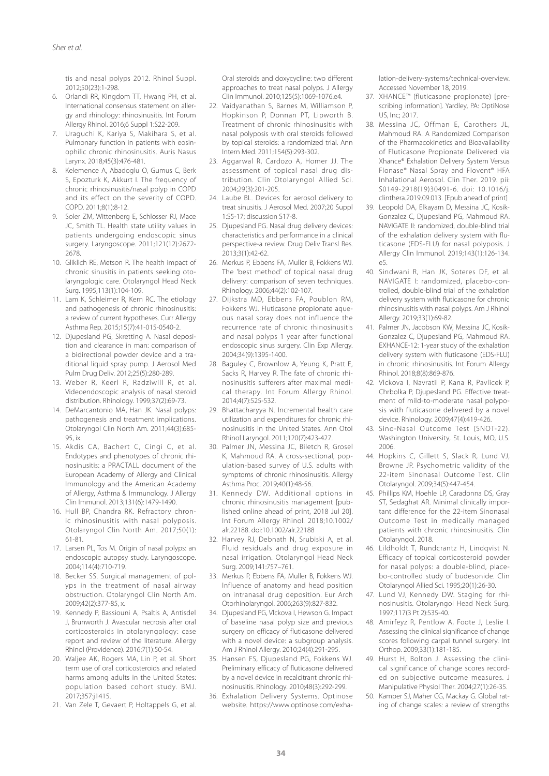tis and nasal polyps 2012. Rhinol Suppl. 2012;50(23):1-298.

- 6. Orlandi RR, Kingdom TT, Hwang PH, et al. International consensus statement on allergy and rhinology: rhinosinusitis. Int Forum Allergy Rhinol. 2016;6 Suppl 1:S22-209.
- 7. Uraguchi K, Kariya S, Makihara S, et al. Pulmonary function in patients with eosinophilic chronic rhinosinusitis. Auris Nasus Larynx. 2018;45(3):476-481.
- Kelemence A, Abadoglu O, Gumus C, Berk S, Epozturk K, Akkurt I. The frequency of chronic rhinosinusitis/nasal polyp in COPD and its effect on the severity of COPD. COPD. 2011;8(1):8-12.
- 9. Soler ZM, Wittenberg E, Schlosser RJ, Mace JC, Smith TL. Health state utility values in patients undergoing endoscopic sinus surgery. Laryngoscope. 2011;121(12):2672- 2678.
- 10. Gliklich RE, Metson R. The health impact of chronic sinusitis in patients seeking otolaryngologic care. Otolaryngol Head Neck Surg. 1995;113(1):104-109.
- 11. Lam K, Schleimer R, Kern RC. The etiology and pathogenesis of chronic rhinosinusitis: a review of current hypotheses. Curr Allergy Asthma Rep. 2015;15(7):41-015-0540-2.
- 12. Djupesland PG, Skretting A. Nasal deposition and clearance in man: comparison of a bidirectional powder device and a traditional liquid spray pump. J Aerosol Med Pulm Drug Deliv. 2012;25(5):280-289.
- 13. Weber R, Keerl R, Radziwill R, et al. Videoendoscopic analysis of nasal steroid distribution. Rhinology. 1999;37(2):69-73.
- 14. DeMarcantonio MA, Han JK. Nasal polyps: pathogenesis and treatment implications. Otolaryngol Clin North Am. 2011;44(3):685- 95, ix.
- 15. Akdis CA, Bachert C, Cingi C, et al. Endotypes and phenotypes of chronic rhinosinusitis: a PRACTALL document of the European Academy of Allergy and Clinical Immunology and the American Academy of Allergy, Asthma & Immunology. J Allergy Clin Immunol. 2013;131(6):1479-1490.
- 16. Hull BP, Chandra RK. Refractory chronic rhinosinusitis with nasal polyposis. Otolaryngol Clin North Am. 2017;50(1): 61-81.
- 17. Larsen PL, Tos M. Origin of nasal polyps: an endoscopic autopsy study. Laryngoscope. 2004;114(4):710-719.
- 18. Becker SS. Surgical management of polyps in the treatment of nasal airway obstruction. Otolaryngol Clin North Am. 2009;42(2):377-85, x.
- 19. Kennedy P, Bassiouni A, Psaltis A, Antisdel J, Brunworth J. Avascular necrosis after oral corticosteroids in otolaryngology: case report and review of the literature. Allergy Rhinol (Providence). 2016;7(1):50-54.
- 20. Waljee AK, Rogers MA, Lin P, et al. Short term use of oral corticosteroids and related harms among adults in the United States: population based cohort study. BMJ. 2017;357:j1415.
- 21. Van Zele T, Gevaert P, Holtappels G, et al.

Oral steroids and doxycycline: two different approaches to treat nasal polyps. J Allergy Clin Immunol. 2010;125(5):1069-1076.e4.

- 22. Vaidyanathan S, Barnes M, Williamson P, Hopkinson P, Donnan PT, Lipworth B. Treatment of chronic rhinosinusitis with nasal polyposis with oral steroids followed by topical steroids: a randomized trial. Ann Intern Med. 2011;154(5):293-302.
- 23. Aggarwal R, Cardozo A, Homer JJ. The assessment of topical nasal drug distribution. Clin Otolaryngol Allied Sci. 2004;29(3):201-205.
- 24. Laube BL. Devices for aerosol delivery to treat sinusitis. J Aerosol Med. 2007;20 Suppl 1:S5-17; discussion S17-8.
- 25. Djupesland PG. Nasal drug delivery devices: characteristics and performance in a clinical perspective-a review. Drug Deliv Transl Res. 2013;3(1):42-62.
- 26. Merkus P, Ebbens FA, Muller B, Fokkens WJ. The 'best method' of topical nasal drug delivery: comparison of seven techniques. Rhinology. 2006;44(2):102-107.
- 27. Dijkstra MD, Ebbens FA, Poublon RM, Fokkens WJ. Fluticasone propionate aqueous nasal spray does not influence the recurrence rate of chronic rhinosinusitis and nasal polyps 1 year after functional endoscopic sinus surgery. Clin Exp Allergy. 2004;34(9):1395-1400.
- 28. Baguley C, Brownlow A, Yeung K, Pratt E, Sacks R, Harvey R. The fate of chronic rhinosinusitis sufferers after maximal medical therapy. Int Forum Allergy Rhinol. 2014;4(7):525-532.
- 29. Bhattacharyya N. Incremental health care utilization and expenditures for chronic rhinosinusitis in the United States. Ann Otol Rhinol Laryngol. 2011;120(7):423-427.
- 30. Palmer JN, Messina JC, Biletch R, Grosel K, Mahmoud RA. A cross-sectional, population-based survey of U.S. adults with symptoms of chronic rhinosinusitis. Allergy Asthma Proc. 2019;40(1):48-56.
- 31. Kennedy DW. Additional options in chronic rhinosinusitis management [published online ahead of print, 2018 Jul 20]. Int Forum Allergy Rhinol. 2018;10.1002/ alr.22188. doi:10.1002/alr.22188
- 32. Harvey RJ, Debnath N, Srubiski A, et al. Fluid residuals and drug exposure in nasal irrigation. Otolaryngol Head Neck Surg. 2009;141:757–761.
- 33. Merkus P, Ebbens FA, Muller B, Fokkens WJ. Influence of anatomy and head position on intranasal drug deposition. Eur Arch Otorhinolaryngol. 2006;263(9):827-832.
- 34. Djupesland PG, Vlckova I, Hewson G. Impact of baseline nasal polyp size and previous surgery on efficacy of fluticasone delivered with a novel device: a subgroup analysis. Am J Rhinol Allergy. 2010;24(4):291-295.
- 35. Hansen FS, Djupesland PG, Fokkens WJ. Preliminary efficacy of fluticasone delivered by a novel device in recalcitrant chronic rhinosinusitis. Rhinology. 2010;48(3):292-299.
- 36. Exhalation Delivery Systems. Optinose website. https://www.optinose.com/exha-

lation-delivery-systems/technical-overview. Accessed November 18, 2019.

- 37. XHANCE™ (fluticasone propionate) [prescribing information]. Yardley, PA: OptiNose US, Inc; 2017.
- 38. Messina JC, Offman E, Carothers JL, Mahmoud RA. A Randomized Comparison of the Pharmacokinetics and Bioavailability of Fluticasone Propionate Delivered via Xhance® Exhalation Delivery System Versus Flonase® Nasal Spray and Flovent® HFA Inhalational Aerosol. Clin Ther. 2019. pii: S0149-2918(19)30491-6. doi: 10.1016/j. clinthera.2019.09.013. [Epub ahead of print]
- 39. Leopold DA, Elkayam D, Messina JC, Kosik-Gonzalez C, Djupesland PG, Mahmoud RA. NAVIGATE II: randomized, double-blind trial of the exhalation delivery system with fluticasone (EDS-FLU) for nasal polyposis. J Allergy Clin Immunol. 2019;143(1):126-134. e5.
- 40. Sindwani R, Han JK, Soteres DF, et al. NAVIGATE I: randomized, placebo-controlled, double-blind trial of the exhalation delivery system with fluticasone for chronic rhinosinusitis with nasal polyps. Am J Rhinol Allergy. 2019;33(1):69-82.
- 41. Palmer JN, Jacobson KW, Messina JC, Kosik-Gonzalez C, Djupesland PG, Mahmoud RA. EXHANCE-12: 1-year study of the exhalation delivery system with fluticasone (EDS-FLU) in chronic rhinosinusitis. Int Forum Allergy Rhinol. 2018;8(8):869-876.
- 42. Vlckova I, Navratil P, Kana R, Pavlicek P, Chrbolka P, Djupesland PG. Effective treatment of mild-to-moderate nasal polyposis with fluticasone delivered by a novel device. Rhinology. 2009;47(4):419-426.
- 43. Sino-Nasal Outcome Test (SNOT-22). Washington University, St. Louis, MO, U.S. 2006.
- 44. Hopkins C, Gillett S, Slack R, Lund VJ, Browne JP. Psychometric validity of the 22-item Sinonasal Outcome Test. Clin Otolaryngol. 2009;34(5):447-454.
- 45. Phillips KM, Hoehle LP, Caradonna DS, Gray ST, Sedaghat AR. Minimal clinically important difference for the 22-item Sinonasal Outcome Test in medically managed patients with chronic rhinosinusitis. Clin Otolaryngol. 2018.
- 46. Lildholdt T, Rundcrantz H, Lindqvist N. Efficacy of topical corticosteroid powder for nasal polyps: a double-blind, placebo-controlled study of budesonide. Clin Otolaryngol Allied Sci. 1995;20(1):26-30.
- 47. Lund VJ, Kennedy DW. Staging for rhinosinusitis. Otolaryngol Head Neck Surg. 1997;117(3 Pt 2):S35-40.
- 48. Amirfeyz R, Pentlow A, Foote J, Leslie I. Assessing the clinical significance of change scores following carpal tunnel surgery. Int Orthop. 2009;33(1):181-185.
- 49. Hurst H, Bolton J. Assessing the clinical significance of change scores recorded on subjective outcome measures. J Manipulative Physiol Ther. 2004;27(1):26-35.
- 50. Kamper SJ, Maher CG, Mackay G. Global rating of change scales: a review of strengths